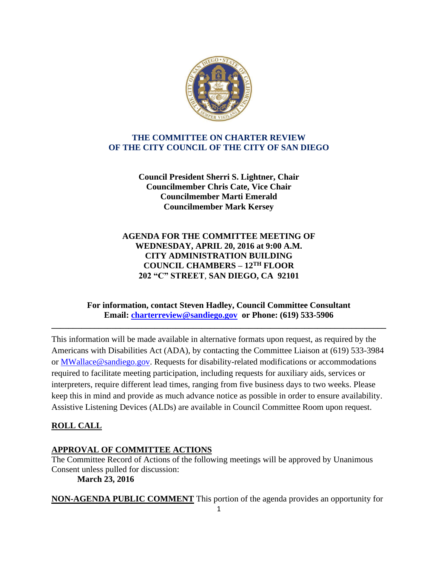

## **THE COMMITTEE ON CHARTER REVIEW OF THE CITY COUNCIL OF THE CITY OF SAN DIEGO**

**Council President Sherri S. Lightner, Chair Councilmember Chris Cate, Vice Chair Councilmember Marti Emerald Councilmember Mark Kersey**

**AGENDA FOR THE COMMITTEE MEETING OF WEDNESDAY, APRIL 20, 2016 at 9:00 A.M. CITY ADMINISTRATION BUILDING COUNCIL CHAMBERS – 12TH FLOOR 202 "C" STREET**, **SAN DIEGO, CA 92101**

### **For information, contact Steven Hadley, Council Committee Consultant Email: [charterreview@sandiego.gov](mailto:charterreview@sandiego.gov) or Phone: (619) 533-5906**

**\_\_\_\_\_\_\_\_\_\_\_\_\_\_\_\_\_\_\_\_\_\_\_\_\_\_\_\_\_\_\_\_\_\_\_\_\_\_\_\_\_\_\_\_\_\_\_\_\_\_\_\_\_\_\_\_\_\_\_\_\_\_\_\_\_\_\_\_\_\_\_\_\_\_\_\_\_\_**

This information will be made available in alternative formats upon request, as required by the Americans with Disabilities Act (ADA), by contacting the Committee Liaison at (619) 533-3984 or MWallace@sandiego.gov. Requests for disability-related modifications or accommodations required to facilitate meeting participation, including requests for auxiliary aids, services or interpreters, require different lead times, ranging from five business days to two weeks. Please keep this in mind and provide as much advance notice as possible in order to ensure availability. Assistive Listening Devices (ALDs) are available in Council Committee Room upon request.

# **ROLL CALL**

### **APPROVAL OF COMMITTEE ACTIONS**

The Committee Record of Actions of the following meetings will be approved by Unanimous Consent unless pulled for discussion: **March 23, 2016**

**NON-AGENDA PUBLIC COMMENT** This portion of the agenda provides an opportunity for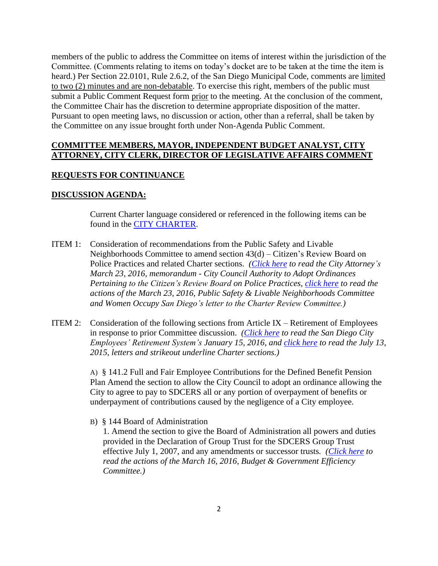members of the public to address the Committee on items of interest within the jurisdiction of the Committee. (Comments relating to items on today's docket are to be taken at the time the item is heard.) Per Section 22.0101, Rule 2.6.2, of the San Diego Municipal Code, comments are limited to two (2) minutes and are non-debatable. To exercise this right, members of the public must submit a Public Comment Request form prior to the meeting. At the conclusion of the comment, the Committee Chair has the discretion to determine appropriate disposition of the matter. Pursuant to open meeting laws, no discussion or action, other than a referral, shall be taken by the Committee on any issue brought forth under Non-Agenda Public Comment.

#### **COMMITTEE MEMBERS, MAYOR, INDEPENDENT BUDGET ANALYST, CITY ATTORNEY, CITY CLERK, DIRECTOR OF LEGISLATIVE AFFAIRS COMMENT**

#### **REQUESTS FOR CONTINUANCE**

#### **DISCUSSION AGENDA:**

Current Charter language considered or referenced in the following items can be found in the [CITY CHARTER.](https://www.sandiego.gov/city-clerk/officialdocs/legisdocs/charter)

- ITEM 1: Consideration of recommendations from the Public Safety and Livable Neighborhoods Committee to amend section 43(d) – Citizen's Review Board on Police Practices and related Charter sections. *[\(Click here](http://docs.sandiego.gov/memooflaw/MS-2016-10.pdf) to read the City Attorney's March 23, 2016, memorandum - City Council Authority to Adopt Ordinances Pertaining to the Citizen's Review Board on Police Practices, [click here](http://docs.sandiego.gov/ccaction_psln/psln160323_actions.pdf) to read the actions of the March 23, 2016, Public Safety & Livable Neighborhoods Committee and Women Occupy San Diego's letter to the Charter Review Committee.)*
- ITEM 2: Consideration of the following sections from Article IX Retirement of Employees in response to prior Committee discussion. *[\(Click here](http://docs.sandiego.gov/councilcomm_agendas_attach/2016/cr_160420_2.pdf) to read the San Diego City Employees' Retirement System's January 15, 2016, and [click here](http://docs.sandiego.gov/councilcomm_agendas_attach/2016/cr_160420_2a.pdf) to read the July 13, 2015, letters and strikeout underline Charter sections.)*

A) § 141.2 Full and Fair Employee Contributions for the Defined Benefit Pension Plan Amend the section to allow the City Council to adopt an ordinance allowing the City to agree to pay to SDCERS all or any portion of overpayment of benefits or underpayment of contributions caused by the negligence of a City employee.

B) § 144 Board of Administration

1. Amend the section to give the Board of Administration all powers and duties provided in the Declaration of Group Trust for the SDCERS Group Trust effective July 1, 2007, and any amendments or successor trusts*. [\(Click here](http://docs.sandiego.gov/ccaction_bge/bge160316_Actions.doc.pdf) to read the actions of the March 16, 2016, Budget & Government Efficiency Committee.)*